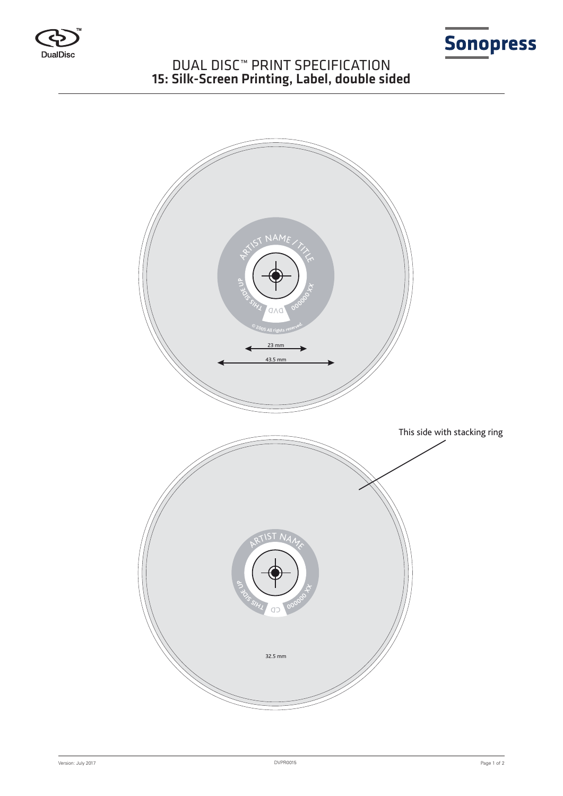



# DUAL DISC™ PRINT SPECIFICATION 15: Silk-Screen Printing, Label, double sided